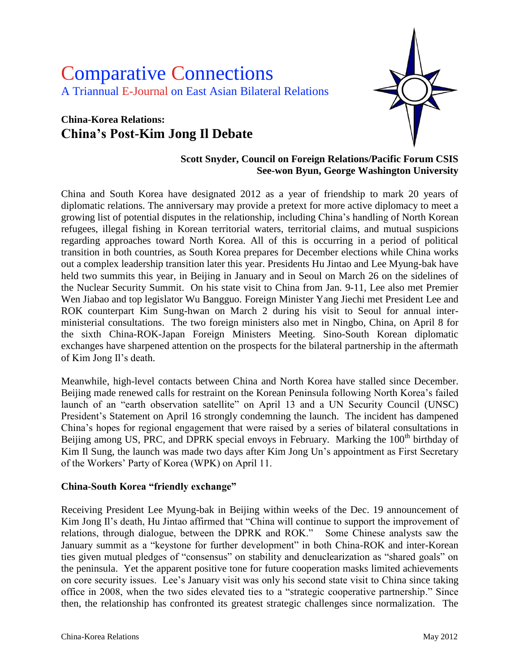# Comparative Connections A Triannual E-Journal on East Asian Bilateral Relations

# **China-Korea Relations: China's Post-Kim Jong Il Debate**



# **Scott Snyder, Council on Foreign Relations/Pacific Forum CSIS See-won Byun, George Washington University**

China and South Korea have designated 2012 as a year of friendship to mark 20 years of diplomatic relations. The anniversary may provide a pretext for more active diplomacy to meet a growing list of potential disputes in the relationship, including China's handling of North Korean refugees, illegal fishing in Korean territorial waters, territorial claims, and mutual suspicions regarding approaches toward North Korea. All of this is occurring in a period of political transition in both countries, as South Korea prepares for December elections while China works out a complex leadership transition later this year. Presidents Hu Jintao and Lee Myung-bak have held two summits this year, in Beijing in January and in Seoul on March 26 on the sidelines of the Nuclear Security Summit. On his state visit to China from Jan. 9-11, Lee also met Premier Wen Jiabao and top legislator Wu Bangguo. Foreign Minister Yang Jiechi met President Lee and ROK counterpart Kim Sung-hwan on March 2 during his visit to Seoul for annual interministerial consultations. The two foreign ministers also met in Ningbo, China, on April 8 for the sixth China-ROK-Japan Foreign Ministers Meeting. Sino-South Korean diplomatic exchanges have sharpened attention on the prospects for the bilateral partnership in the aftermath of Kim Jong Il's death.

Meanwhile, high-level contacts between China and North Korea have stalled since December. Beijing made renewed calls for restraint on the Korean Peninsula following North Korea's failed launch of an "earth observation satellite" on April 13 and a UN Security Council (UNSC) President's Statement on April 16 strongly condemning the launch. The incident has dampened China's hopes for regional engagement that were raised by a series of bilateral consultations in Beijing among US, PRC, and DPRK special envoys in February. Marking the 100<sup>th</sup> birthday of Kim Il Sung, the launch was made two days after Kim Jong Un's appointment as First Secretary of the Workers' Party of Korea (WPK) on April 11.

#### **China-South Korea "friendly exchange"**

Receiving President Lee Myung-bak in Beijing within weeks of the Dec. 19 announcement of Kim Jong Il's death, Hu Jintao affirmed that "China will continue to support the improvement of relations, through dialogue, between the DPRK and ROK." Some Chinese analysts saw the January summit as a "keystone for further development" in both China-ROK and inter-Korean ties given mutual pledges of "consensus" on stability and denuclearization as "shared goals" on the peninsula. Yet the apparent positive tone for future cooperation masks limited achievements on core security issues. Lee's January visit was only his second state visit to China since taking office in 2008, when the two sides elevated ties to a "strategic cooperative partnership." Since then, the relationship has confronted its greatest strategic challenges since normalization. The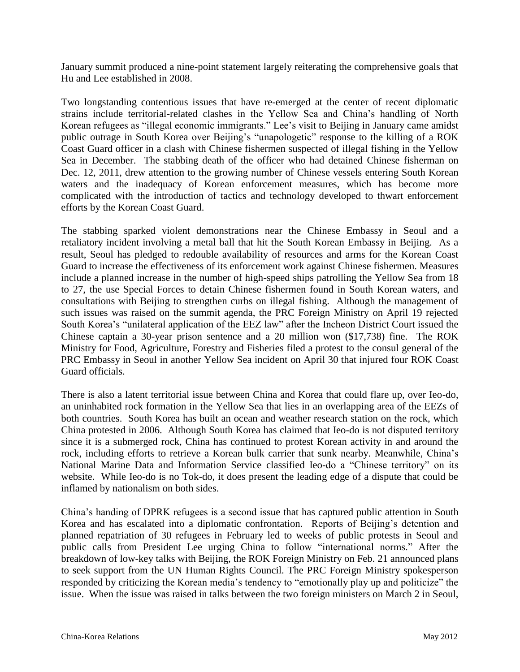January summit produced a nine-point statement largely reiterating the comprehensive goals that Hu and Lee established in 2008.

Two longstanding contentious issues that have re-emerged at the center of recent diplomatic strains include territorial-related clashes in the Yellow Sea and China's handling of North Korean refugees as "illegal economic immigrants." Lee's visit to Beijing in January came amidst public outrage in South Korea over Beijing's "unapologetic" response to the killing of a ROK Coast Guard officer in a clash with Chinese fishermen suspected of illegal fishing in the Yellow Sea in December. The stabbing death of the officer who had detained Chinese fisherman on Dec. 12, 2011, drew attention to the growing number of Chinese vessels entering South Korean waters and the inadequacy of Korean enforcement measures, which has become more complicated with the introduction of tactics and technology developed to thwart enforcement efforts by the Korean Coast Guard.

The stabbing sparked violent demonstrations near the Chinese Embassy in Seoul and a retaliatory incident involving a metal ball that hit the South Korean Embassy in Beijing. As a result, Seoul has pledged to redouble availability of resources and arms for the Korean Coast Guard to increase the effectiveness of its enforcement work against Chinese fishermen. Measures include a planned increase in the number of high-speed ships patrolling the Yellow Sea from 18 to 27, the use Special Forces to detain Chinese fishermen found in South Korean waters, and consultations with Beijing to strengthen curbs on illegal fishing. Although the management of such issues was raised on the summit agenda, the PRC Foreign Ministry on April 19 rejected South Korea's "unilateral application of the EEZ law" after the Incheon District Court issued the Chinese captain a 30-year prison sentence and a 20 million won (\$17,738) fine. The ROK Ministry for Food, Agriculture, Forestry and Fisheries filed a protest to the consul general of the PRC Embassy in Seoul in another Yellow Sea incident on April 30 that injured four ROK Coast Guard officials.

There is also a latent territorial issue between China and Korea that could flare up, over Ieo-do, an uninhabited rock formation in the Yellow Sea that lies in an overlapping area of the EEZs of both countries. South Korea has built an ocean and weather research station on the rock, which China protested in 2006. Although South Korea has claimed that Ieo-do is not disputed territory since it is a submerged rock, China has continued to protest Korean activity in and around the rock, including efforts to retrieve a Korean bulk carrier that sunk nearby. Meanwhile, China's National Marine Data and Information Service classified Ieo-do a "Chinese territory" on its website. While Ieo-do is no Tok-do, it does present the leading edge of a dispute that could be inflamed by nationalism on both sides.

China's handing of DPRK refugees is a second issue that has captured public attention in South Korea and has escalated into a diplomatic confrontation. Reports of Beijing's detention and planned repatriation of 30 refugees in February led to weeks of public protests in Seoul and public calls from President Lee urging China to follow "international norms." After the breakdown of low-key talks with Beijing, the ROK Foreign Ministry on Feb. 21 announced plans to seek support from the UN Human Rights Council. The PRC Foreign Ministry spokesperson responded by criticizing the Korean media's tendency to "emotionally play up and politicize" the issue. When the issue was raised in talks between the two foreign ministers on March 2 in Seoul,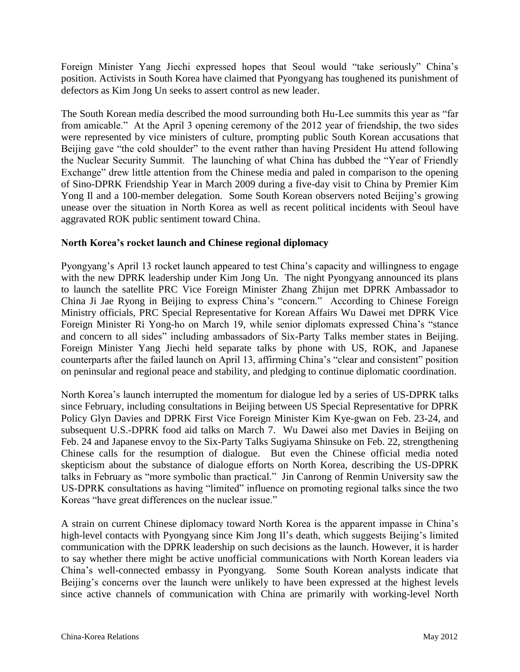Foreign Minister Yang Jiechi expressed hopes that Seoul would "take seriously" China's position. Activists in South Korea have claimed that Pyongyang has toughened its punishment of defectors as Kim Jong Un seeks to assert control as new leader.

The South Korean media described the mood surrounding both Hu-Lee summits this year as "far from amicable." At the April 3 opening ceremony of the 2012 year of friendship, the two sides were represented by vice ministers of culture, prompting public South Korean accusations that Beijing gave "the cold shoulder" to the event rather than having President Hu attend following the Nuclear Security Summit. The launching of what China has dubbed the "Year of Friendly Exchange" drew little attention from the Chinese media and paled in comparison to the opening of Sino-DPRK Friendship Year in March 2009 during a five-day visit to China by Premier Kim Yong Il and a 100-member delegation. Some South Korean observers noted Beijing's growing unease over the situation in North Korea as well as recent political incidents with Seoul have aggravated ROK public sentiment toward China.

#### **North Korea's rocket launch and Chinese regional diplomacy**

Pyongyang's April 13 rocket launch appeared to test China's capacity and willingness to engage with the new DPRK leadership under Kim Jong Un. The night Pyongyang announced its plans to launch the satellite PRC Vice Foreign Minister Zhang Zhijun met DPRK Ambassador to China Ji Jae Ryong in Beijing to express China's "concern." According to Chinese Foreign Ministry officials, PRC Special Representative for Korean Affairs Wu Dawei met DPRK Vice Foreign Minister Ri Yong-ho on March 19, while senior diplomats expressed China's "stance and concern to all sides" including ambassadors of Six-Party Talks member states in Beijing. Foreign Minister Yang Jiechi held separate talks by phone with US, ROK, and Japanese counterparts after the failed launch on April 13, affirming China's "clear and consistent" position on peninsular and regional peace and stability, and pledging to continue diplomatic coordination.

North Korea's launch interrupted the momentum for dialogue led by a series of US-DPRK talks since February, including consultations in Beijing between US Special Representative for DPRK Policy Glyn Davies and DPRK First Vice Foreign Minister Kim Kye-gwan on Feb. 23-24, and subsequent U.S.-DPRK food aid talks on March 7. Wu Dawei also met Davies in Beijing on Feb. 24 and Japanese envoy to the Six-Party Talks Sugiyama Shinsuke on Feb. 22, strengthening Chinese calls for the resumption of dialogue. But even the Chinese official media noted skepticism about the substance of dialogue efforts on North Korea, describing the US-DPRK talks in February as "more symbolic than practical." Jin Canrong of Renmin University saw the US-DPRK consultations as having "limited" influence on promoting regional talks since the two Koreas "have great differences on the nuclear issue."

A strain on current Chinese diplomacy toward North Korea is the apparent impasse in China's high-level contacts with Pyongyang since Kim Jong Il's death, which suggests Beijing's limited communication with the DPRK leadership on such decisions as the launch. However, it is harder to say whether there might be active unofficial communications with North Korean leaders via China's well-connected embassy in Pyongyang. Some South Korean analysts indicate that Beijing's concerns over the launch were unlikely to have been expressed at the highest levels since active channels of communication with China are primarily with working-level North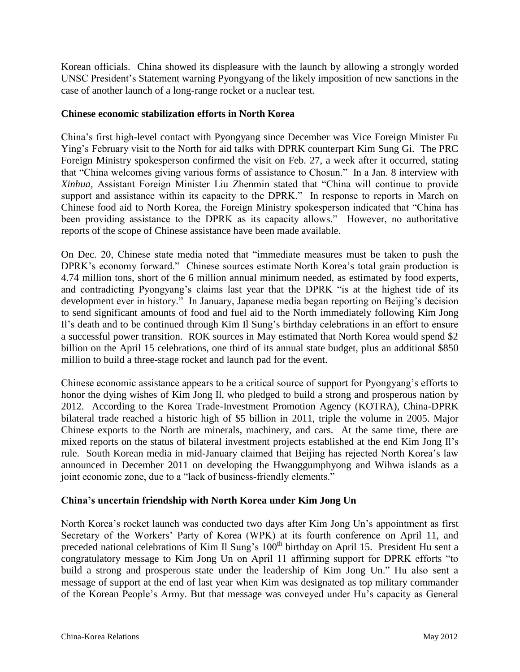Korean officials. China showed its displeasure with the launch by allowing a strongly worded UNSC President's Statement warning Pyongyang of the likely imposition of new sanctions in the case of another launch of a long-range rocket or a nuclear test.

#### **Chinese economic stabilization efforts in North Korea**

China's first high-level contact with Pyongyang since December was Vice Foreign Minister Fu Ying's February visit to the North for aid talks with DPRK counterpart Kim Sung Gi. The PRC Foreign Ministry spokesperson confirmed the visit on Feb. 27, a week after it occurred, stating that "China welcomes giving various forms of assistance to Chosun." In a Jan. 8 interview with *Xinhua,* Assistant Foreign Minister Liu Zhenmin stated that "China will continue to provide support and assistance within its capacity to the DPRK." In response to reports in March on Chinese food aid to North Korea, the Foreign Ministry spokesperson indicated that "China has been providing assistance to the DPRK as its capacity allows." However, no authoritative reports of the scope of Chinese assistance have been made available.

On Dec. 20, Chinese state media noted that "immediate measures must be taken to push the DPRK's economy forward." Chinese sources estimate North Korea's total grain production is 4.74 million tons, short of the 6 million annual minimum needed, as estimated by food experts, and contradicting Pyongyang's claims last year that the DPRK "is at the highest tide of its development ever in history." In January, Japanese media began reporting on Beijing's decision to send significant amounts of food and fuel aid to the North immediately following Kim Jong Il's death and to be continued through Kim Il Sung's birthday celebrations in an effort to ensure a successful power transition. ROK sources in May estimated that North Korea would spend \$2 billion on the April 15 celebrations, one third of its annual state budget, plus an additional \$850 million to build a three-stage rocket and launch pad for the event.

Chinese economic assistance appears to be a critical source of support for Pyongyang's efforts to honor the dying wishes of Kim Jong Il, who pledged to build a strong and prosperous nation by 2012. According to the Korea Trade-Investment Promotion Agency (KOTRA), China-DPRK bilateral trade reached a historic high of \$5 billion in 2011, triple the volume in 2005. Major Chinese exports to the North are minerals, machinery, and cars. At the same time, there are mixed reports on the status of bilateral investment projects established at the end Kim Jong Il's rule. South Korean media in mid-January claimed that Beijing has rejected North Korea's law announced in December 2011 on developing the Hwanggumphyong and Wihwa islands as a joint economic zone, due to a "lack of business-friendly elements."

# **China's uncertain friendship with North Korea under Kim Jong Un**

North Korea's rocket launch was conducted two days after Kim Jong Un's appointment as first Secretary of the Workers' Party of Korea (WPK) at its fourth conference on April 11, and preceded national celebrations of Kim Il Sung's 100<sup>th</sup> birthday on April 15. President Hu sent a congratulatory message to Kim Jong Un on April 11 affirming support for DPRK efforts "to build a strong and prosperous state under the leadership of Kim Jong Un." Hu also sent a message of support at the end of last year when Kim was designated as top military commander of the Korean People's Army. But that message was conveyed under Hu's capacity as General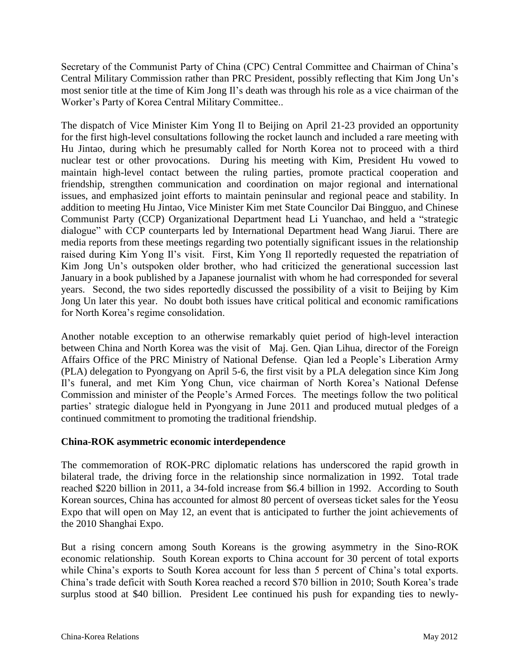Secretary of the Communist Party of China (CPC) Central Committee and Chairman of China's Central Military Commission rather than PRC President, possibly reflecting that Kim Jong Un's most senior title at the time of Kim Jong Il's death was through his role as a vice chairman of the Worker's Party of Korea Central Military Committee..

The dispatch of Vice Minister Kim Yong Il to Beijing on April 21-23 provided an opportunity for the first high-level consultations following the rocket launch and included a rare meeting with Hu Jintao, during which he presumably called for North Korea not to proceed with a third nuclear test or other provocations. During his meeting with Kim, President Hu vowed to maintain high-level contact between the ruling parties, promote practical cooperation and friendship, strengthen communication and coordination on major regional and international issues, and emphasized joint efforts to maintain peninsular and regional peace and stability. In addition to meeting Hu Jintao, Vice Minister Kim met State Councilor Dai Bingguo, and Chinese Communist Party (CCP) Organizational Department head Li Yuanchao, and held a "strategic dialogue" with CCP counterparts led by International Department head Wang Jiarui. There are media reports from these meetings regarding two potentially significant issues in the relationship raised during Kim Yong Il's visit. First, Kim Yong Il reportedly requested the repatriation of Kim Jong Un's outspoken older brother, who had criticized the generational succession last January in a book published by a Japanese journalist with whom he had corresponded for several years. Second, the two sides reportedly discussed the possibility of a visit to Beijing by Kim Jong Un later this year. No doubt both issues have critical political and economic ramifications for North Korea's regime consolidation.

Another notable exception to an otherwise remarkably quiet period of high-level interaction between China and North Korea was the visit of Maj. Gen. Qian Lihua, director of the Foreign Affairs Office of the PRC Ministry of National Defense. Qian led a People's Liberation Army (PLA) delegation to Pyongyang on April 5-6, the first visit by a PLA delegation since Kim Jong Il's funeral, and met Kim Yong Chun, vice chairman of North Korea's National Defense Commission and minister of the People's Armed Forces. The meetings follow the two political parties' strategic dialogue held in Pyongyang in June 2011 and produced mutual pledges of a continued commitment to promoting the traditional friendship.

# **China-ROK asymmetric economic interdependence**

The commemoration of ROK-PRC diplomatic relations has underscored the rapid growth in bilateral trade, the driving force in the relationship since normalization in 1992. Total trade reached \$220 billion in 2011, a 34-fold increase from \$6.4 billion in 1992. According to South Korean sources, China has accounted for almost 80 percent of overseas ticket sales for the Yeosu Expo that will open on May 12, an event that is anticipated to further the joint achievements of the 2010 Shanghai Expo.

But a rising concern among South Koreans is the growing asymmetry in the Sino-ROK economic relationship. South Korean exports to China account for 30 percent of total exports while China's exports to South Korea account for less than 5 percent of China's total exports. China's trade deficit with South Korea reached a record \$70 billion in 2010; South Korea's trade surplus stood at \$40 billion. President Lee continued his push for expanding ties to newly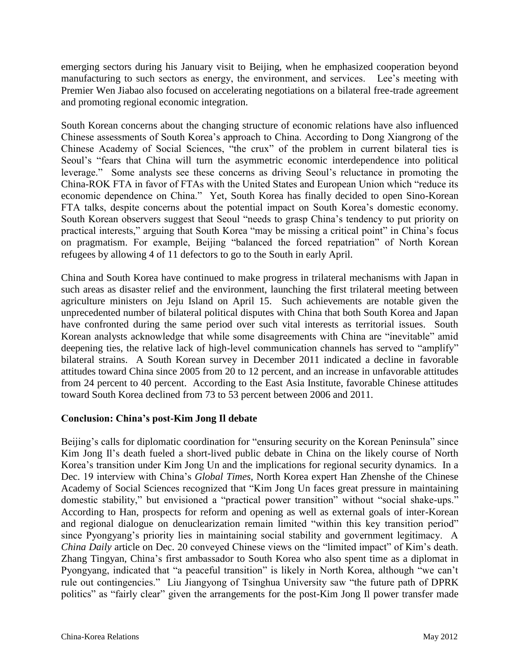emerging sectors during his January visit to Beijing, when he emphasized cooperation beyond manufacturing to such sectors as energy, the environment, and services. Lee's meeting with Premier Wen Jiabao also focused on accelerating negotiations on a bilateral free-trade agreement and promoting regional economic integration.

South Korean concerns about the changing structure of economic relations have also influenced Chinese assessments of South Korea's approach to China. According to Dong Xiangrong of the Chinese Academy of Social Sciences, "the crux" of the problem in current bilateral ties is Seoul's "fears that China will turn the asymmetric economic interdependence into political leverage." Some analysts see these concerns as driving Seoul's reluctance in promoting the China-ROK FTA in favor of FTAs with the United States and European Union which "reduce its economic dependence on China." Yet, South Korea has finally decided to open Sino-Korean FTA talks, despite concerns about the potential impact on South Korea's domestic economy. South Korean observers suggest that Seoul "needs to grasp China's tendency to put priority on practical interests," arguing that South Korea "may be missing a critical point" in China's focus on pragmatism. For example, Beijing "balanced the forced repatriation" of North Korean refugees by allowing 4 of 11 defectors to go to the South in early April.

China and South Korea have continued to make progress in trilateral mechanisms with Japan in such areas as disaster relief and the environment, launching the first trilateral meeting between agriculture ministers on Jeju Island on April 15. Such achievements are notable given the unprecedented number of bilateral political disputes with China that both South Korea and Japan have confronted during the same period over such vital interests as territorial issues. South Korean analysts acknowledge that while some disagreements with China are "inevitable" amid deepening ties, the relative lack of high-level communication channels has served to "amplify" bilateral strains. A South Korean survey in December 2011 indicated a decline in favorable attitudes toward China since 2005 from 20 to 12 percent, and an increase in unfavorable attitudes from 24 percent to 40 percent. According to the East Asia Institute, favorable Chinese attitudes toward South Korea declined from 73 to 53 percent between 2006 and 2011.

# **Conclusion: China's post-Kim Jong Il debate**

Beijing's calls for diplomatic coordination for "ensuring security on the Korean Peninsula" since Kim Jong Il's death fueled a short-lived public debate in China on the likely course of North Korea's transition under Kim Jong Un and the implications for regional security dynamics. In a Dec. 19 interview with China's *Global Times*, North Korea expert Han Zhenshe of the Chinese Academy of Social Sciences recognized that "Kim Jong Un faces great pressure in maintaining domestic stability," but envisioned a "practical power transition" without "social shake-ups." According to Han, prospects for reform and opening as well as external goals of inter-Korean and regional dialogue on denuclearization remain limited "within this key transition period" since Pyongyang's priority lies in maintaining social stability and government legitimacy. A *China Daily* article on Dec. 20 conveyed Chinese views on the "limited impact" of Kim's death. Zhang Tingyan, China's first ambassador to South Korea who also spent time as a diplomat in Pyongyang, indicated that "a peaceful transition" is likely in North Korea, although "we can't rule out contingencies." Liu Jiangyong of Tsinghua University saw "the future path of DPRK politics" as "fairly clear" given the arrangements for the post-Kim Jong Il power transfer made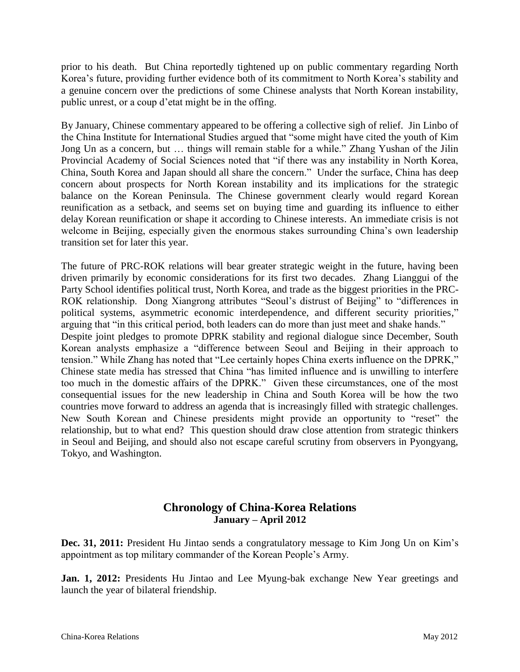prior to his death. But China reportedly tightened up on public commentary regarding North Korea's future, providing further evidence both of its commitment to North Korea's stability and a genuine concern over the predictions of some Chinese analysts that North Korean instability, public unrest, or a coup d'etat might be in the offing.

By January, Chinese commentary appeared to be offering a collective sigh of relief. Jin Linbo of the China Institute for International Studies argued that "some might have cited the youth of Kim Jong Un as a concern, but … things will remain stable for a while." Zhang Yushan of the Jilin Provincial Academy of Social Sciences noted that "if there was any instability in North Korea, China, South Korea and Japan should all share the concern." Under the surface, China has deep concern about prospects for North Korean instability and its implications for the strategic balance on the Korean Peninsula. The Chinese government clearly would regard Korean reunification as a setback, and seems set on buying time and guarding its influence to either delay Korean reunification or shape it according to Chinese interests. An immediate crisis is not welcome in Beijing, especially given the enormous stakes surrounding China's own leadership transition set for later this year.

The future of PRC-ROK relations will bear greater strategic weight in the future, having been driven primarily by economic considerations for its first two decades. Zhang Lianggui of the Party School identifies political trust, North Korea, and trade as the biggest priorities in the PRC-ROK relationship. Dong Xiangrong attributes "Seoul's distrust of Beijing" to "differences in political systems, asymmetric economic interdependence, and different security priorities," arguing that "in this critical period, both leaders can do more than just meet and shake hands." Despite joint pledges to promote DPRK stability and regional dialogue since December, South Korean analysts emphasize a "difference between Seoul and Beijing in their approach to tension." While Zhang has noted that "Lee certainly hopes China exerts influence on the DPRK," Chinese state media has stressed that China "has limited influence and is unwilling to interfere too much in the domestic affairs of the DPRK." Given these circumstances, one of the most consequential issues for the new leadership in China and South Korea will be how the two countries move forward to address an agenda that is increasingly filled with strategic challenges. New South Korean and Chinese presidents might provide an opportunity to "reset" the relationship, but to what end? This question should draw close attention from strategic thinkers in Seoul and Beijing, and should also not escape careful scrutiny from observers in Pyongyang, Tokyo, and Washington.

# **Chronology of China-Korea Relations January – April 2012**

**Dec. 31, 2011:** President Hu Jintao sends a congratulatory message to Kim Jong Un on Kim's appointment as top military commander of the Korean People's Army.

**Jan. 1, 2012:** Presidents Hu Jintao and Lee Myung-bak exchange New Year greetings and launch the year of bilateral friendship.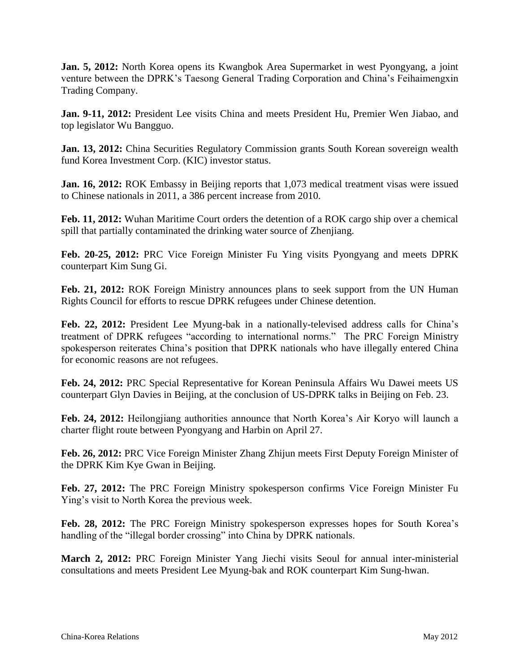**Jan. 5, 2012:** North Korea opens its Kwangbok Area Supermarket in west Pyongyang, a joint venture between the DPRK's Taesong General Trading Corporation and China's Feihaimengxin Trading Company.

**Jan. 9-11, 2012:** President Lee visits China and meets President Hu, Premier Wen Jiabao, and top legislator Wu Bangguo.

**Jan. 13, 2012:** China Securities Regulatory Commission grants South Korean sovereign wealth fund Korea Investment Corp. (KIC) investor status.

**Jan. 16, 2012:** ROK Embassy in Beijing reports that 1,073 medical treatment visas were issued to Chinese nationals in 2011, a 386 percent increase from 2010.

**Feb. 11, 2012:** Wuhan Maritime Court orders the detention of a ROK cargo ship over a chemical spill that partially contaminated the drinking water source of Zhenjiang.

**Feb. 20-25, 2012:** PRC Vice Foreign Minister Fu Ying visits Pyongyang and meets DPRK counterpart Kim Sung Gi.

**Feb. 21, 2012:** ROK Foreign Ministry announces plans to seek support from the UN Human Rights Council for efforts to rescue DPRK refugees under Chinese detention.

**Feb. 22, 2012:** President Lee Myung-bak in a nationally-televised address calls for China's treatment of DPRK refugees "according to international norms." The PRC Foreign Ministry spokesperson reiterates China's position that DPRK nationals who have illegally entered China for economic reasons are not refugees.

**Feb. 24, 2012:** PRC Special Representative for Korean Peninsula Affairs Wu Dawei meets US counterpart Glyn Davies in Beijing, at the conclusion of US-DPRK talks in Beijing on Feb. 23.

**Feb. 24, 2012:** Heilongjiang authorities announce that North Korea's Air Koryo will launch a charter flight route between Pyongyang and Harbin on April 27.

**Feb. 26, 2012:** PRC Vice Foreign Minister Zhang Zhijun meets First Deputy Foreign Minister of the DPRK Kim Kye Gwan in Beijing.

**Feb. 27, 2012:** The PRC Foreign Ministry spokesperson confirms Vice Foreign Minister Fu Ying's visit to North Korea the previous week.

**Feb. 28, 2012:** The PRC Foreign Ministry spokesperson expresses hopes for South Korea's handling of the "illegal border crossing" into China by DPRK nationals.

**March 2, 2012:** PRC Foreign Minister Yang Jiechi visits Seoul for annual inter-ministerial consultations and meets President Lee Myung-bak and ROK counterpart Kim Sung-hwan.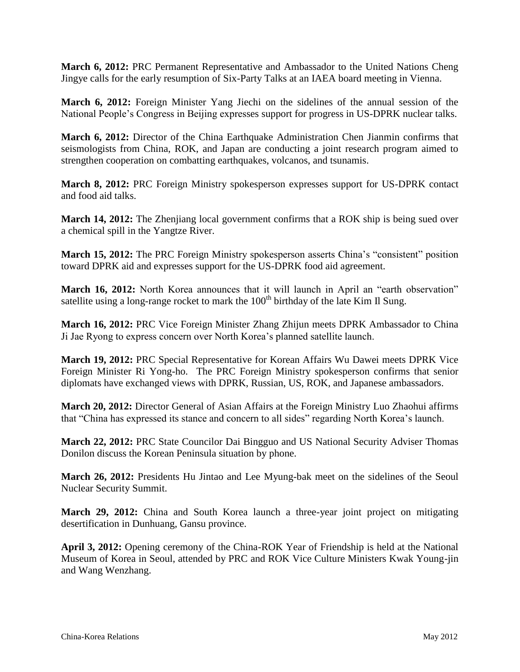**March 6, 2012:** PRC Permanent Representative and Ambassador to the United Nations Cheng Jingye calls for the early resumption of Six-Party Talks at an IAEA board meeting in Vienna.

**March 6, 2012:** Foreign Minister Yang Jiechi on the sidelines of the annual session of the National People's Congress in Beijing expresses support for progress in US-DPRK nuclear talks.

**March 6, 2012:** Director of the China Earthquake Administration Chen Jianmin confirms that seismologists from China, ROK, and Japan are conducting a joint research program aimed to strengthen cooperation on combatting earthquakes, volcanos, and tsunamis.

**March 8, 2012:** PRC Foreign Ministry spokesperson expresses support for US-DPRK contact and food aid talks.

**March 14, 2012:** The Zhenjiang local government confirms that a ROK ship is being sued over a chemical spill in the Yangtze River.

**March 15, 2012:** The PRC Foreign Ministry spokesperson asserts China's "consistent" position toward DPRK aid and expresses support for the US-DPRK food aid agreement.

**March 16, 2012:** North Korea announces that it will launch in April an "earth observation" satellite using a long-range rocket to mark the  $100<sup>th</sup>$  birthday of the late Kim Il Sung.

**March 16, 2012:** PRC Vice Foreign Minister Zhang Zhijun meets DPRK Ambassador to China Ji Jae Ryong to express concern over North Korea's planned satellite launch.

**March 19, 2012:** PRC Special Representative for Korean Affairs Wu Dawei meets DPRK Vice Foreign Minister Ri Yong-ho. The PRC Foreign Ministry spokesperson confirms that senior diplomats have exchanged views with DPRK, Russian, US, ROK, and Japanese ambassadors.

**March 20, 2012:** Director General of Asian Affairs at the Foreign Ministry Luo Zhaohui affirms that "China has expressed its stance and concern to all sides" regarding North Korea's launch.

**March 22, 2012:** PRC State Councilor Dai Bingguo and US National Security Adviser Thomas Donilon discuss the Korean Peninsula situation by phone.

**March 26, 2012:** Presidents Hu Jintao and Lee Myung-bak meet on the sidelines of the Seoul Nuclear Security Summit.

**March 29, 2012:** China and South Korea launch a three-year joint project on mitigating desertification in Dunhuang, Gansu province.

**April 3, 2012:** Opening ceremony of the China-ROK Year of Friendship is held at the National Museum of Korea in Seoul, attended by PRC and ROK Vice Culture Ministers Kwak Young-jin and Wang Wenzhang.